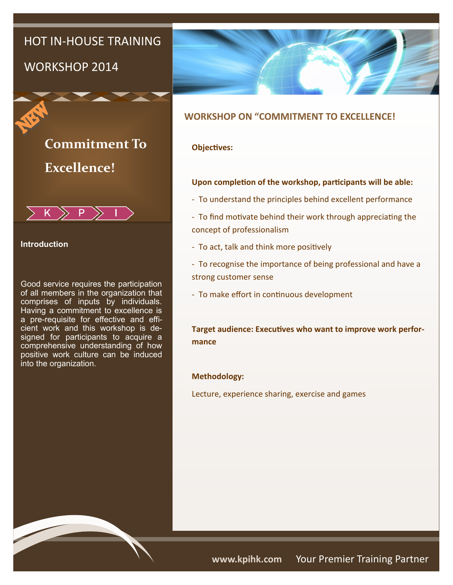## HOT IN-HOUSE TRAINING

## WORKSHOP 2014



# **Commitment To Excellence!**



## **Introduction**

Good service requires the participation of all members in the organization that comprises of inputs by individuals. Having a commitment to excellence is a pre-requisite for effective and efficient work and this workshop is designed for participants to acquire a comprehensive understanding of how positive work culture can be induced into the organization.



## **WORKSHOP ON "COMMITMENT TO EXCELLENCE!**

## **Objectives:**

#### **Upon completion of the workshop, participants will be able:**

- To understand the principles behind excellent performance
- To find motivate behind their work through appreciating the concept of professionalism
- To act, talk and think more positively
- To recognise the importance of being professional and have a strong customer sense
- To make effort in continuous development

**Target audience: Executives who want to improve work performance**

#### **Methodology:**

Lecture, experience sharing, exercise and games